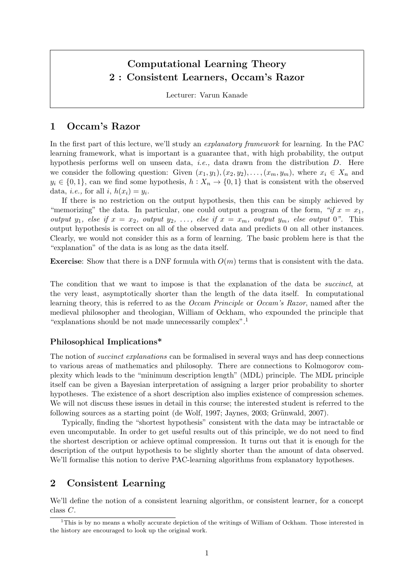# Computational Learning Theory 2 : Consistent Learners, Occam's Razor

Lecturer: Varun Kanade

### 1 Occam's Razor

In the first part of this lecture, we'll study an *explanatory framework* for learning. In the PAC learning framework, what is important is a guarantee that, with high probability, the output hypothesis performs well on unseen data, i.e., data drawn from the distribution D. Here we consider the following question: Given  $(x_1, y_1), (x_2, y_2), \ldots, (x_m, y_m)$ , where  $x_i \in X_n$  and  $y_i \in \{0, 1\}$ , can we find some hypothesis,  $h: X_n \to \{0, 1\}$  that is consistent with the observed data, *i.e.*, for all *i*,  $h(x_i) = y_i$ .

If there is no restriction on the output hypothesis, then this can be simply achieved by "memorizing" the data. In particular, one could output a program of the form, "if  $x = x_1$ , output  $y_1$ , else if  $x = x_2$ , output  $y_2, \ldots$ , else if  $x = x_m$ , output  $y_m$ , else output 0". This output hypothesis is correct on all of the observed data and predicts 0 on all other instances. Clearly, we would not consider this as a form of learning. The basic problem here is that the "explanation" of the data is as long as the data itself.

**Exercise:** Show that there is a DNF formula with  $O(m)$  terms that is consistent with the data.

The condition that we want to impose is that the explanation of the data be *succinct*, at the very least, asymptotically shorter than the length of the data itself. In computational learning theory, this is referred to as the Occam Principle or Occam's Razor, named after the medieval philosopher and theologian, William of Ockham, who expounded the principle that "explanations should be not made unnecessarily complex".<sup>1</sup>

#### Philosophical Implications\*

The notion of *succinct explanations* can be formalised in several ways and has deep connections to various areas of mathematics and philosophy. There are connections to Kolmogorov complexity which leads to the "minimum description length" (MDL) principle. The MDL principle itself can be given a Bayesian interpretation of assigning a larger prior probability to shorter hypotheses. The existence of a short description also implies existence of compression schemes. We will not discuss these issues in detail in this course; the interested student is referred to the following sources as a starting point (de Wolf, 1997; Jaynes, 2003; Grünwald, 2007).

Typically, finding the "shortest hypothesis" consistent with the data may be intractable or even uncomputable. In order to get useful results out of this principle, we do not need to find the shortest description or achieve optimal compression. It turns out that it is enough for the description of the output hypothesis to be slightly shorter than the amount of data observed. We'll formalise this notion to derive PAC-learning algorithms from explanatory hypotheses.

## 2 Consistent Learning

We'll define the notion of a consistent learning algorithm, or consistent learner, for a concept class C.

<sup>&</sup>lt;sup>1</sup>This is by no means a wholly accurate depiction of the writings of William of Ockham. Those interested in the history are encouraged to look up the original work.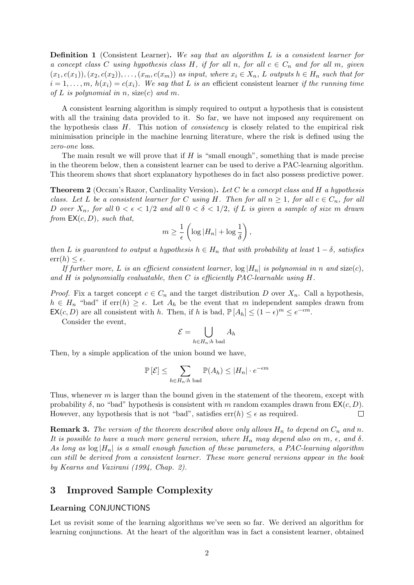**Definition 1** (Consistent Learner). We say that an algorithm L is a consistent learner for a concept class C using hypothesis class H, if for all n, for all  $c \in C_n$  and for all m, given  $(x_1, c(x_1)),(x_2, c(x_2)), \ldots, (x_m, c(x_m))$  as input, where  $x_i \in X_n$ , L outputs  $h \in H_n$  such that for  $i = 1, \ldots, m$ ,  $h(x_i) = c(x_i)$ . We say that L is an efficient consistent learner if the running time of L is polynomial in n, size(c) and m.

A consistent learning algorithm is simply required to output a hypothesis that is consistent with all the training data provided to it. So far, we have not imposed any requirement on the hypothesis class  $H$ . This notion of *consistency* is closely related to the empirical risk minimisation principle in the machine learning literature, where the risk is defined using the zero-one loss.

The main result we will prove that if  $H$  is "small enough", something that is made precise in the theorem below, then a consistent learner can be used to derive a PAC-learning algorithm. This theorem shows that short explanatory hypotheses do in fact also possess predictive power.

**Theorem 2** (Occam's Razor, Cardinality Version). Let C be a concept class and H a hypothesis class. Let L be a consistent learner for C using H. Then for all  $n \geq 1$ , for all  $c \in C_n$ , for all D over  $X_n$ , for all  $0 < \epsilon < 1/2$  and all  $0 < \delta < 1/2$ , if L is given a sample of size m drawn from  $EX(c, D)$ , such that,

$$
m \geq \frac{1}{\epsilon} \left( \log |H_n| + \log \frac{1}{\delta} \right),\,
$$

then L is guaranteed to output a hypothesis  $h \in H_n$  that with probability at least  $1 - \delta$ , satisfies  $err(h) \leq \epsilon$ .

If further more, L is an efficient consistent learner,  $\log |H_n|$  is polynomial in n and size(c), and H is polynomially evaluatable, then C is efficiently PAC-learnable using H.

*Proof.* Fix a target concept  $c \in C_n$  and the target distribution D over  $X_n$ . Call a hypothesis,  $h \in H_n$  "bad" if  $err(h) \geq \epsilon$ . Let  $A_h$  be the event that m independent samples drawn from  $\mathsf{EX}(c, D)$  are all consistent with h. Then, if h is bad,  $\mathbb{P}[A_h] \leq (1 - \epsilon)^m \leq e^{-\epsilon m}$ .

Consider the event,

$$
\mathcal{E} = \bigcup_{h \in H_n:h \text{ bad}} A_h
$$

Then, by a simple application of the union bound we have,

$$
\mathbb{P}\left[\mathcal{E}\right] \leq \sum_{h \in H_n: h \text{ bad}} \mathbb{P}(A_h) \leq |H_n| \cdot e^{-\epsilon m}
$$

Thus, whenever  $m$  is larger than the bound given in the statement of the theorem, except with probability  $\delta$ , no "bad" hypothesis is consistent with m random examples drawn from  $\mathsf{EX}(c, D)$ . However, any hypothesis that is not "bad", satisfies  $err(h) \leq \epsilon$  as required.  $\Box$ 

**Remark 3.** The version of the theorem described above only allows  $H_n$  to depend on  $C_n$  and n. It is possible to have a much more general version, where  $H_n$  may depend also on m,  $\epsilon$ , and  $\delta$ . As long as  $\log |H_n|$  is a small enough function of these parameters, a PAC-learning algorithm can still be derived from a consistent learner. These more general versions appear in the book by Kearns and Vazirani (1994, Chap. 2).

## 3 Improved Sample Complexity

#### Learning CONJUNCTIONS

Let us revisit some of the learning algorithms we've seen so far. We derived an algorithm for learning conjunctions. At the heart of the algorithm was in fact a consistent learner, obtained